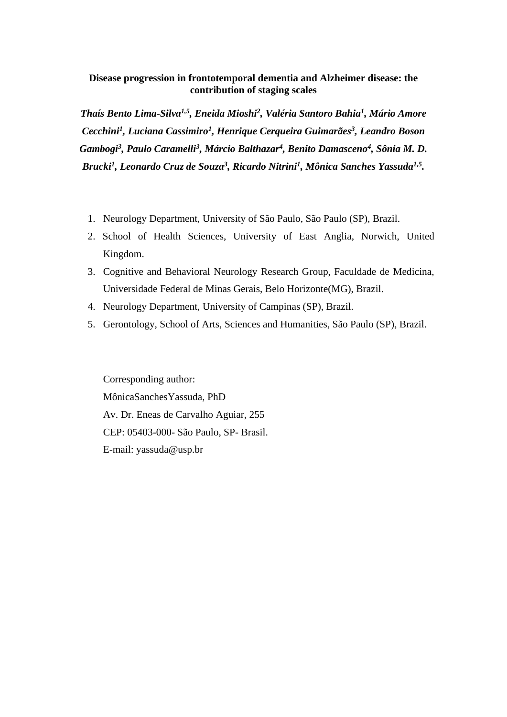# **Disease progression in frontotemporal dementia and Alzheimer disease: the contribution of staging scales**

*Thaís Bento Lima-Silva1,5 , Eneida Mioshi<sup>2</sup> , Valéria Santoro Bahia<sup>1</sup> , Mário Amore Cecchini<sup>1</sup> , Luciana Cassimiro<sup>1</sup> , Henrique Cerqueira Guimarães<sup>3</sup> , Leandro Boson Gambogi<sup>3</sup> , Paulo Caramelli<sup>3</sup> , Márcio Balthazar<sup>4</sup> , Benito Damasceno<sup>4</sup> , Sônia M. D. Brucki<sup>1</sup> , Leonardo Cruz de Souza<sup>3</sup> , Ricardo Nitrini<sup>1</sup> , Mônica Sanches Yassuda1,5 .*

- 1. Neurology Department, University of São Paulo, São Paulo (SP), Brazil.
- 2. School of Health Sciences, University of East Anglia, Norwich, United Kingdom.
- 3. Cognitive and Behavioral Neurology Research Group, Faculdade de Medicina, Universidade Federal de Minas Gerais, Belo Horizonte(MG), Brazil.
- 4. Neurology Department, University of Campinas (SP), Brazil.
- 5. Gerontology, School of Arts, Sciences and Humanities, São Paulo (SP), Brazil.

Corresponding author: MônicaSanchesYassuda, PhD Av. Dr. Eneas de Carvalho Aguiar, 255 CEP: 05403-000- São Paulo, SP- Brasil. E-mail: yassuda@usp.br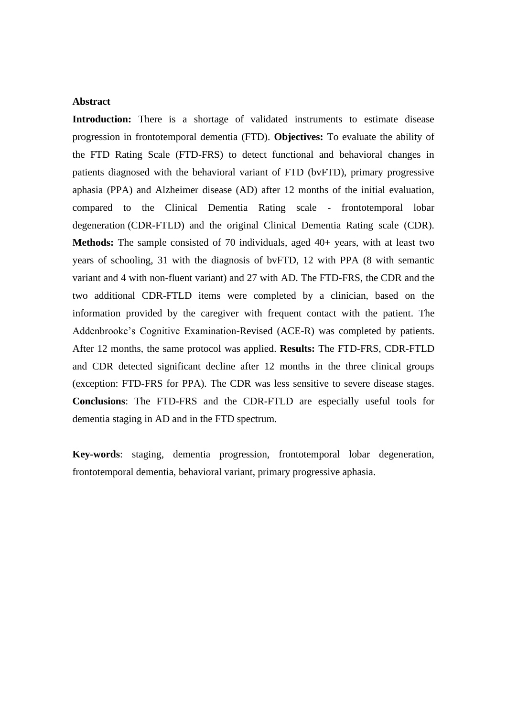#### **Abstract**

**Introduction:** There is a shortage of validated instruments to estimate disease progression in frontotemporal dementia (FTD). **Objectives:** To evaluate the ability of the FTD Rating Scale (FTD-FRS) to detect functional and behavioral changes in patients diagnosed with the behavioral variant of FTD (bvFTD), primary progressive aphasia (PPA) and Alzheimer disease (AD) after 12 months of the initial evaluation, compared to the Clinical Dementia Rating scale - frontotemporal lobar degeneration (CDR-FTLD) and the original Clinical Dementia Rating scale (CDR). **Methods:** The sample consisted of 70 individuals, aged 40+ years, with at least two years of schooling, 31 with the diagnosis of bvFTD, 12 with PPA (8 with semantic variant and 4 with non-fluent variant) and 27 with AD. The FTD-FRS, the CDR and the two additional CDR-FTLD items were completed by a clinician, based on the information provided by the caregiver with frequent contact with the patient. The Addenbrooke's Cognitive Examination-Revised (ACE-R) was completed by patients. After 12 months, the same protocol was applied. **Results:** The FTD-FRS, CDR-FTLD and CDR detected significant decline after 12 months in the three clinical groups (exception: FTD-FRS for PPA). The CDR was less sensitive to severe disease stages. **Conclusions**: The FTD-FRS and the CDR-FTLD are especially useful tools for dementia staging in AD and in the FTD spectrum.

**Key-words**: staging, dementia progression, frontotemporal lobar degeneration, frontotemporal dementia, behavioral variant, primary progressive aphasia.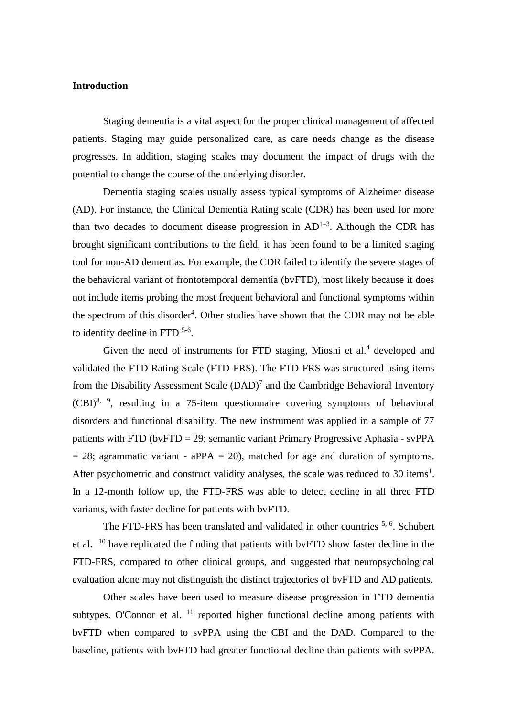# **Introduction**

Staging dementia is a vital aspect for the proper clinical management of affected patients. Staging may guide personalized care, as care needs change as the disease progresses. In addition, staging scales may document the impact of drugs with the potential to change the course of the underlying disorder.

Dementia staging scales usually assess typical symptoms of Alzheimer disease (AD). For instance, the Clinical Dementia Rating scale (CDR) has been used for more than two decades to document disease progression in  $AD^{1-3}$ . Although the CDR has brought significant contributions to the field, it has been found to be a limited staging tool for non-AD dementias. For example, the CDR failed to identify the severe stages of the behavioral variant of frontotemporal dementia (bvFTD), most likely because it does not include items probing the most frequent behavioral and functional symptoms within the spectrum of this disorder<sup>4</sup>. Other studies have shown that the CDR may not be able to identify decline in FTD<sup>5-6</sup>.

Given the need of instruments for FTD staging, Mioshi et al. $4$  developed and validated the FTD Rating Scale (FTD-FRS). The FTD-FRS was structured using items from the Disability Assessment Scale  $(DAD)^7$  and the Cambridge Behavioral Inventory  $(CBI)^{8, 9}$ , resulting in a 75-item questionnaire covering symptoms of behavioral disorders and functional disability. The new instrument was applied in a sample of 77 patients with FTD (bvFTD = 29; semantic variant Primary Progressive Aphasia - svPPA  $= 28$ ; agrammatic variant - aPPA  $= 20$ ), matched for age and duration of symptoms. After psychometric and construct validity analyses, the scale was reduced to  $30$  items<sup>1</sup>. In a 12-month follow up, the FTD-FRS was able to detect decline in all three FTD variants, with faster decline for patients with bvFTD.

The FTD-FRS has been translated and validated in other countries <sup>5, 6</sup>. Schubert et al. <sup>10</sup> have replicated the finding that patients with bvFTD show faster decline in the FTD-FRS, compared to other clinical groups, and suggested that neuropsychological evaluation alone may not distinguish the distinct trajectories of bvFTD and AD patients.

Other scales have been used to measure disease progression in FTD dementia subtypes. O'Connor et al.  $^{11}$  reported higher functional decline among patients with bvFTD when compared to svPPA using the CBI and the DAD. Compared to the baseline, patients with bvFTD had greater functional decline than patients with svPPA.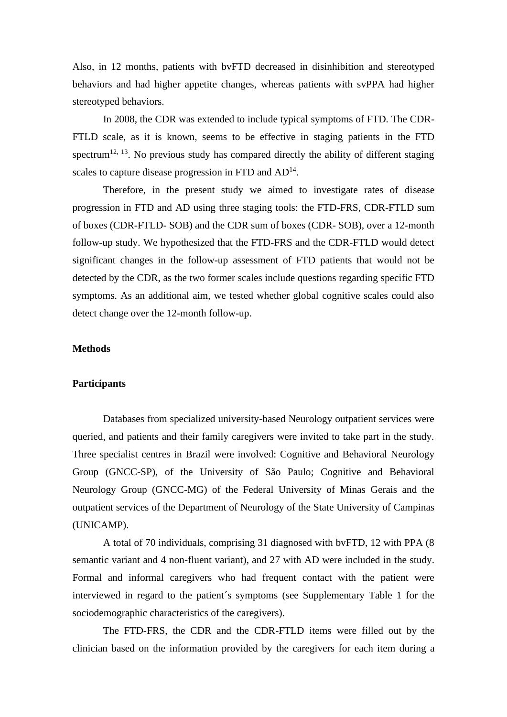Also, in 12 months, patients with bvFTD decreased in disinhibition and stereotyped behaviors and had higher appetite changes, whereas patients with svPPA had higher stereotyped behaviors.

In 2008, the CDR was extended to include typical symptoms of FTD. The CDR-FTLD scale, as it is known, seems to be effective in staging patients in the FTD spectrum<sup>12, 13</sup>. No previous study has compared directly the ability of different staging scales to capture disease progression in FTD and  $AD<sup>14</sup>$ .

Therefore, in the present study we aimed to investigate rates of disease progression in FTD and AD using three staging tools: the FTD-FRS, CDR-FTLD sum of boxes (CDR-FTLD- SOB) and the CDR sum of boxes (CDR- SOB), over a 12-month follow-up study. We hypothesized that the FTD-FRS and the CDR-FTLD would detect significant changes in the follow-up assessment of FTD patients that would not be detected by the CDR, as the two former scales include questions regarding specific FTD symptoms. As an additional aim, we tested whether global cognitive scales could also detect change over the 12-month follow-up.

# **Methods**

#### **Participants**

Databases from specialized university-based Neurology outpatient services were queried, and patients and their family caregivers were invited to take part in the study. Three specialist centres in Brazil were involved: Cognitive and Behavioral Neurology Group (GNCC-SP), of the University of São Paulo; Cognitive and Behavioral Neurology Group (GNCC-MG) of the Federal University of Minas Gerais and the outpatient services of the Department of Neurology of the State University of Campinas (UNICAMP).

A total of 70 individuals, comprising 31 diagnosed with bvFTD, 12 with PPA (8 semantic variant and 4 non-fluent variant), and 27 with AD were included in the study. Formal and informal caregivers who had frequent contact with the patient were interviewed in regard to the patient´s symptoms (see Supplementary Table 1 for the sociodemographic characteristics of the caregivers).

The FTD-FRS, the CDR and the CDR-FTLD items were filled out by the clinician based on the information provided by the caregivers for each item during a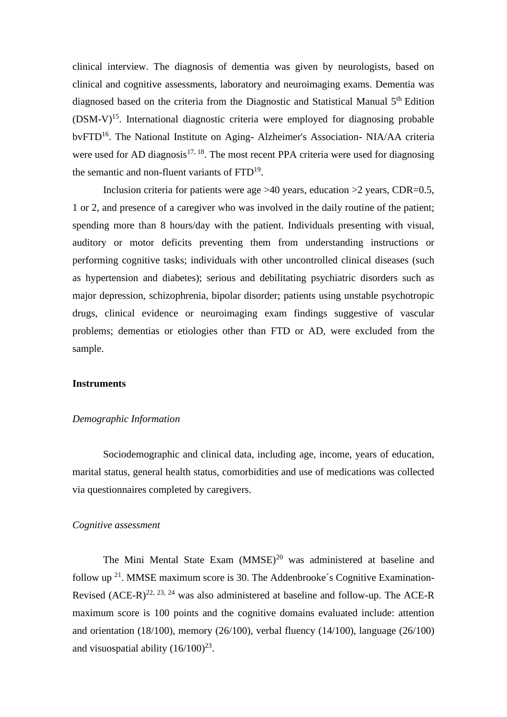clinical interview. The diagnosis of dementia was given by neurologists, based on clinical and cognitive assessments, laboratory and neuroimaging exams. Dementia was diagnosed based on the criteria from the Diagnostic and Statistical Manual 5<sup>th</sup> Edition  $(DSM-V)^{15}$ . International diagnostic criteria were employed for diagnosing probable bvFTD<sup>16</sup>. The National Institute on Aging- Alzheimer's Association- NIA/AA criteria were used for AD diagnosis<sup>17, 18</sup>. The most recent PPA criteria were used for diagnosing the semantic and non-fluent variants of FTD<sup>19</sup>.

Inclusion criteria for patients were age  $>40$  years, education  $>2$  years, CDR=0.5, 1 or 2, and presence of a caregiver who was involved in the daily routine of the patient; spending more than 8 hours/day with the patient. Individuals presenting with visual, auditory or motor deficits preventing them from understanding instructions or performing cognitive tasks; individuals with other uncontrolled clinical diseases (such as hypertension and diabetes); serious and debilitating psychiatric disorders such as major depression, schizophrenia, bipolar disorder; patients using unstable psychotropic drugs, clinical evidence or neuroimaging exam findings suggestive of vascular problems; dementias or etiologies other than FTD or AD, were excluded from the sample.

#### **Instruments**

# *Demographic Information*

Sociodemographic and clinical data, including age, income, years of education, marital status, general health status, comorbidities and use of medications was collected via questionnaires completed by caregivers.

#### *Cognitive assessment*

The Mini Mental State Exam (MMSE)<sup>20</sup> was administered at baseline and follow up  $21$ . MMSE maximum score is 30. The Addenbrooke's Cognitive Examination-Revised  $(ACE-R)^{22, 23, 24}$  was also administered at baseline and follow-up. The ACE-R maximum score is 100 points and the cognitive domains evaluated include: attention and orientation (18/100), memory (26/100), verbal fluency (14/100), language (26/100) and visuospatial ability  $(16/100)^{23}$ .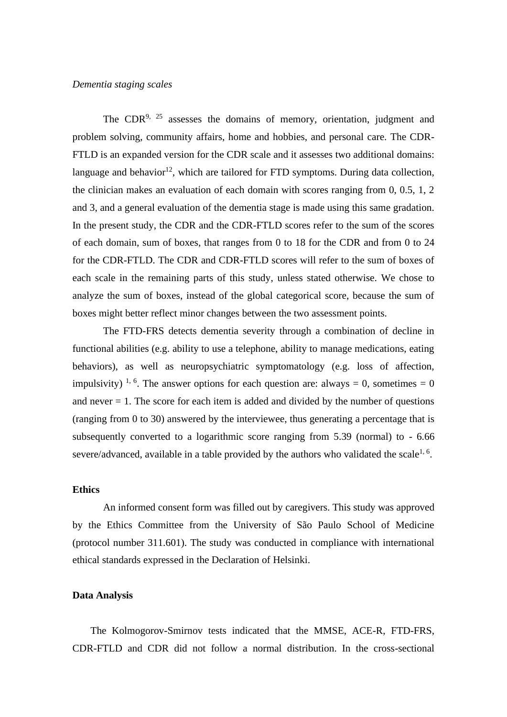# *Dementia staging scales*

The CDR<sup>9, 25</sup> assesses the domains of memory, orientation, judgment and problem solving, community affairs, home and hobbies, and personal care. The CDR-FTLD is an expanded version for the CDR scale and it assesses two additional domains: language and behavior<sup>12</sup>, which are tailored for FTD symptoms. During data collection, the clinician makes an evaluation of each domain with scores ranging from 0, 0.5, 1, 2 and 3, and a general evaluation of the dementia stage is made using this same gradation. In the present study, the CDR and the CDR-FTLD scores refer to the sum of the scores of each domain, sum of boxes, that ranges from 0 to 18 for the CDR and from 0 to 24 for the CDR-FTLD. The CDR and CDR-FTLD scores will refer to the sum of boxes of each scale in the remaining parts of this study, unless stated otherwise. We chose to analyze the sum of boxes, instead of the global categorical score, because the sum of boxes might better reflect minor changes between the two assessment points.

The FTD-FRS detects dementia severity through a combination of decline in functional abilities (e.g. ability to use a telephone, ability to manage medications, eating behaviors), as well as neuropsychiatric symptomatology (e.g. loss of affection, impulsivity) <sup>1, 6</sup>. The answer options for each question are: always = 0, sometimes = 0 and never  $= 1$ . The score for each item is added and divided by the number of questions (ranging from 0 to 30) answered by the interviewee, thus generating a percentage that is subsequently converted to a logarithmic score ranging from 5.39 (normal) to - 6.66 severe/advanced, available in a table provided by the authors who validated the scale<sup>1, 6</sup>.

# **Ethics**

An informed consent form was filled out by caregivers. This study was approved by the Ethics Committee from the University of São Paulo School of Medicine (protocol number 311.601). The study was conducted in compliance with international ethical standards expressed in the Declaration of Helsinki.

#### **Data Analysis**

The Kolmogorov-Smirnov tests indicated that the MMSE, ACE-R, FTD-FRS, CDR-FTLD and CDR did not follow a normal distribution. In the cross-sectional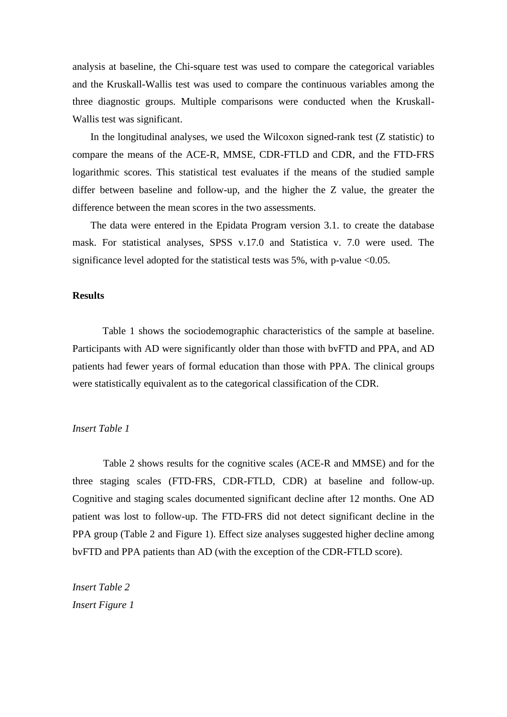analysis at baseline, the Chi-square test was used to compare the categorical variables and the Kruskall-Wallis test was used to compare the continuous variables among the three diagnostic groups. Multiple comparisons were conducted when the Kruskall-Wallis test was significant.

In the longitudinal analyses, we used the Wilcoxon signed-rank test (Z statistic) to compare the means of the ACE-R, MMSE, CDR-FTLD and CDR, and the FTD-FRS logarithmic scores. This statistical test evaluates if the means of the studied sample differ between baseline and follow-up, and the higher the Z value, the greater the difference between the mean scores in the two assessments.

The data were entered in the Epidata Program version 3.1. to create the database mask. For statistical analyses, SPSS v.17.0 and Statistica v. 7.0 were used. The significance level adopted for the statistical tests was 5%, with p-value <0.05.

#### **Results**

Table 1 shows the sociodemographic characteristics of the sample at baseline. Participants with AD were significantly older than those with bvFTD and PPA, and AD patients had fewer years of formal education than those with PPA. The clinical groups were statistically equivalent as to the categorical classification of the CDR.

#### *Insert Table 1*

Table 2 shows results for the cognitive scales (ACE-R and MMSE) and for the three staging scales (FTD-FRS, CDR-FTLD, CDR) at baseline and follow-up. Cognitive and staging scales documented significant decline after 12 months. One AD patient was lost to follow-up. The FTD-FRS did not detect significant decline in the PPA group (Table 2 and Figure 1). Effect size analyses suggested higher decline among bvFTD and PPA patients than AD (with the exception of the CDR-FTLD score).

*Insert Table 2 Insert Figure 1*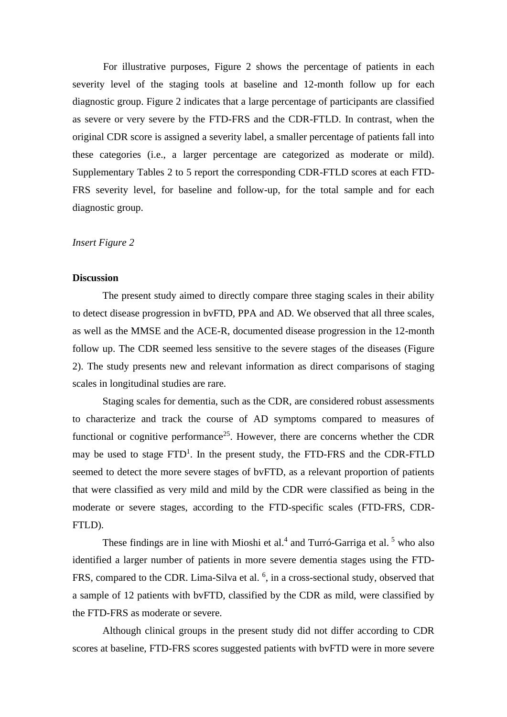For illustrative purposes, Figure 2 shows the percentage of patients in each severity level of the staging tools at baseline and 12-month follow up for each diagnostic group. Figure 2 indicates that a large percentage of participants are classified as severe or very severe by the FTD-FRS and the CDR-FTLD. In contrast, when the original CDR score is assigned a severity label, a smaller percentage of patients fall into these categories (i.e., a larger percentage are categorized as moderate or mild). Supplementary Tables 2 to 5 report the corresponding CDR-FTLD scores at each FTD-FRS severity level, for baseline and follow-up, for the total sample and for each diagnostic group.

# *Insert Figure 2*

# **Discussion**

The present study aimed to directly compare three staging scales in their ability to detect disease progression in bvFTD, PPA and AD. We observed that all three scales, as well as the MMSE and the ACE-R, documented disease progression in the 12-month follow up. The CDR seemed less sensitive to the severe stages of the diseases (Figure 2). The study presents new and relevant information as direct comparisons of staging scales in longitudinal studies are rare.

Staging scales for dementia, such as the CDR, are considered robust assessments to characterize and track the course of AD symptoms compared to measures of functional or cognitive performance<sup>25</sup>. However, there are concerns whether the CDR may be used to stage  $FTD<sup>1</sup>$ . In the present study, the  $FTD$ -FRS and the CDR-FTLD seemed to detect the more severe stages of bvFTD, as a relevant proportion of patients that were classified as very mild and mild by the CDR were classified as being in the moderate or severe stages, according to the FTD-specific scales (FTD-FRS, CDR-FTLD).

These findings are in line with Mioshi et al.<sup>4</sup> and Turró-Garriga et al.<sup>5</sup> who also identified a larger number of patients in more severe dementia stages using the FTD-FRS, compared to the CDR. Lima-Silva et al. <sup>6</sup>, in a cross-sectional study, observed that a sample of 12 patients with bvFTD, classified by the CDR as mild, were classified by the FTD-FRS as moderate or severe.

Although clinical groups in the present study did not differ according to CDR scores at baseline, FTD-FRS scores suggested patients with bvFTD were in more severe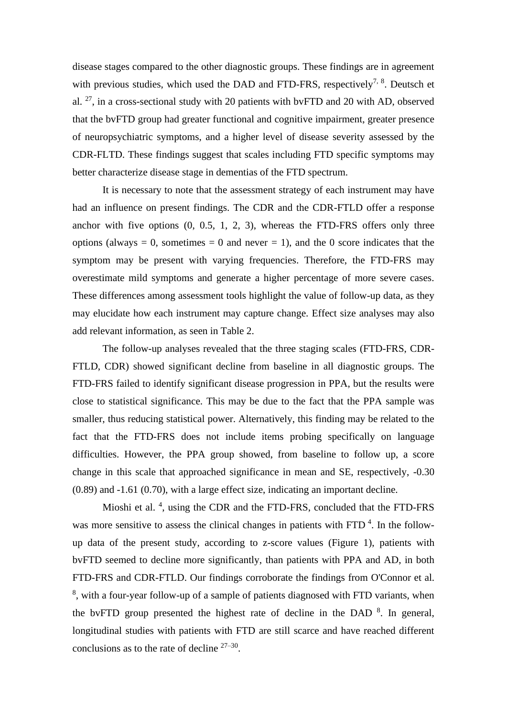disease stages compared to the other diagnostic groups. These findings are in agreement with previous studies, which used the DAD and FTD-FRS, respectively<sup>7, 8</sup>. Deutsch et al. <sup>27</sup>, in a cross-sectional study with 20 patients with bvFTD and 20 with AD, observed that the bvFTD group had greater functional and cognitive impairment, greater presence of neuropsychiatric symptoms, and a higher level of disease severity assessed by the CDR-FLTD. These findings suggest that scales including FTD specific symptoms may better characterize disease stage in dementias of the FTD spectrum.

It is necessary to note that the assessment strategy of each instrument may have had an influence on present findings. The CDR and the CDR-FTLD offer a response anchor with five options  $(0, 0.5, 1, 2, 3)$ , whereas the FTD-FRS offers only three options (always  $= 0$ , sometimes  $= 0$  and never  $= 1$ ), and the 0 score indicates that the symptom may be present with varying frequencies. Therefore, the FTD-FRS may overestimate mild symptoms and generate a higher percentage of more severe cases. These differences among assessment tools highlight the value of follow-up data, as they may elucidate how each instrument may capture change. Effect size analyses may also add relevant information, as seen in Table 2.

The follow-up analyses revealed that the three staging scales (FTD-FRS, CDR-FTLD, CDR) showed significant decline from baseline in all diagnostic groups. The FTD-FRS failed to identify significant disease progression in PPA, but the results were close to statistical significance. This may be due to the fact that the PPA sample was smaller, thus reducing statistical power. Alternatively, this finding may be related to the fact that the FTD-FRS does not include items probing specifically on language difficulties. However, the PPA group showed, from baseline to follow up, a score change in this scale that approached significance in mean and SE, respectively, -0.30 (0.89) and -1.61 (0.70), with a large effect size, indicating an important decline.

Mioshi et al.  $4$ , using the CDR and the FTD-FRS, concluded that the FTD-FRS was more sensitive to assess the clinical changes in patients with  $FTD<sup>4</sup>$ . In the followup data of the present study, according to z-score values (Figure 1), patients with bvFTD seemed to decline more significantly, than patients with PPA and AD, in both FTD-FRS and CDR-FTLD. Our findings corroborate the findings from O'Connor et al. <sup>8</sup>, with a four-year follow-up of a sample of patients diagnosed with FTD variants, when the bvFTD group presented the highest rate of decline in the DAD  $\text{8}$ . In general, longitudinal studies with patients with FTD are still scarce and have reached different conclusions as to the rate of decline  $27-30$ .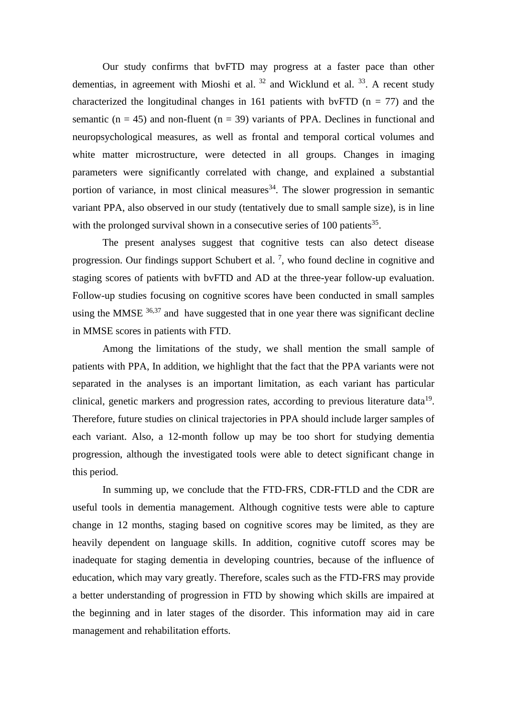Our study confirms that bvFTD may progress at a faster pace than other dementias, in agreement with Mioshi et al.  $32$  and Wicklund et al.  $33$ . A recent study characterized the longitudinal changes in 161 patients with bvFTD ( $n = 77$ ) and the semantic ( $n = 45$ ) and non-fluent ( $n = 39$ ) variants of PPA. Declines in functional and neuropsychological measures, as well as frontal and temporal cortical volumes and white matter microstructure, were detected in all groups. Changes in imaging parameters were significantly correlated with change, and explained a substantial portion of variance, in most clinical measures  $34$ . The slower progression in semantic variant PPA, also observed in our study (tentatively due to small sample size), is in line with the prolonged survival shown in a consecutive series of  $100$  patients<sup>35</sup>.

The present analyses suggest that cognitive tests can also detect disease progression. Our findings support Schubert et al.<sup>7</sup>, who found decline in cognitive and staging scores of patients with bvFTD and AD at the three-year follow-up evaluation. Follow-up studies focusing on cognitive scores have been conducted in small samples using the MMSE  $36,37$  and have suggested that in one year there was significant decline in MMSE scores in patients with FTD.

Among the limitations of the study, we shall mention the small sample of patients with PPA, In addition, we highlight that the fact that the PPA variants were not separated in the analyses is an important limitation, as each variant has particular clinical, genetic markers and progression rates, according to previous literature data<sup>19</sup>. Therefore, future studies on clinical trajectories in PPA should include larger samples of each variant. Also, a 12-month follow up may be too short for studying dementia progression, although the investigated tools were able to detect significant change in this period.

In summing up, we conclude that the FTD-FRS, CDR-FTLD and the CDR are useful tools in dementia management. Although cognitive tests were able to capture change in 12 months, staging based on cognitive scores may be limited, as they are heavily dependent on language skills. In addition, cognitive cutoff scores may be inadequate for staging dementia in developing countries, because of the influence of education, which may vary greatly. Therefore, scales such as the FTD-FRS may provide a better understanding of progression in FTD by showing which skills are impaired at the beginning and in later stages of the disorder. This information may aid in care management and rehabilitation efforts.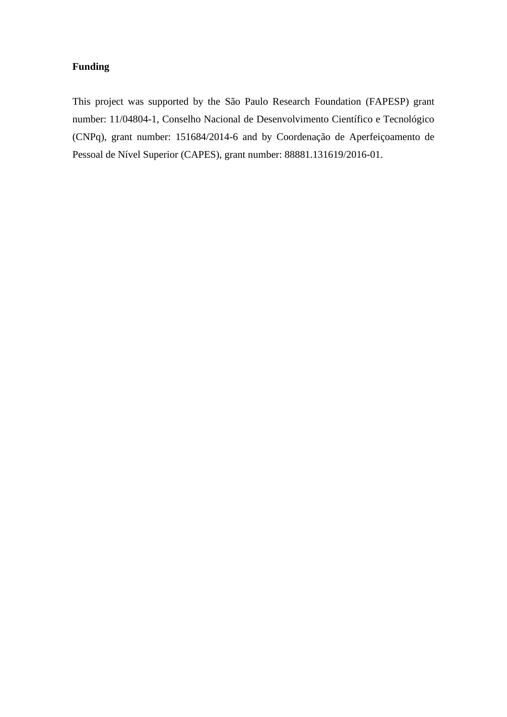# **Funding**

This project was supported by the São Paulo Research Foundation (FAPESP) grant number: 11/04804-1, Conselho Nacional de Desenvolvimento Científico e Tecnológico (CNPq), grant number: 151684/2014-6 and by Coordenação de Aperfeiçoamento de Pessoal de Nível Superior (CAPES), grant number: 88881.131619/2016-01.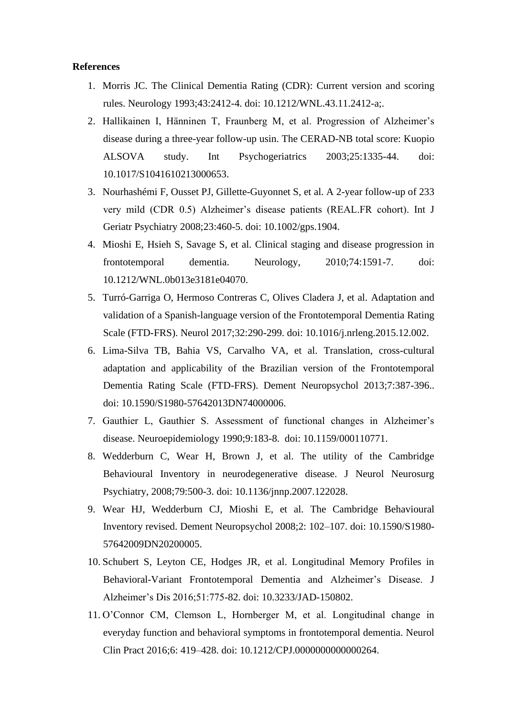# **References**

- 1. Morris JC. The Clinical Dementia Rating (CDR): Current version and scoring rules. Neurology 1993;43:2412-4. doi: 10.1212/WNL.43.11.2412-a;.
- 2. Hallikainen I, Hänninen T, Fraunberg M, et al. Progression of Alzheimer's disease during a three-year follow-up usin. The CERAD-NB total score: Kuopio ALSOVA study. Int Psychogeriatrics 2003;25:1335-44. doi: 10.1017/S1041610213000653.
- 3. Nourhashémi F, Ousset PJ, Gillette-Guyonnet S, et al. A 2-year follow-up of 233 very mild (CDR 0.5) Alzheimer's disease patients (REAL.FR cohort). Int J Geriatr Psychiatry 2008;23:460-5. doi: 10.1002/gps.1904.
- 4. Mioshi E, Hsieh S, Savage S, et al. Clinical staging and disease progression in frontotemporal dementia. Neurology, 2010;74:1591-7. doi: 10.1212/WNL.0b013e3181e04070.
- 5. Turró-Garriga O, Hermoso Contreras C, Olives Cladera J, et al. Adaptation and validation of a Spanish-language version of the Frontotemporal Dementia Rating Scale (FTD-FRS). Neurol 2017;32:290-299. doi: 10.1016/j.nrleng.2015.12.002.
- 6. Lima-Silva TB, Bahia VS, Carvalho VA, et al. Translation, cross-cultural adaptation and applicability of the Brazilian version of the Frontotemporal Dementia Rating Scale (FTD-FRS). Dement Neuropsychol 2013;7:387-396.. doi: 10.1590/S1980-57642013DN74000006.
- 7. Gauthier L, Gauthier S. Assessment of functional changes in Alzheimer's disease. Neuroepidemiology 1990;9:183-8. doi: 10.1159/000110771.
- 8. Wedderburn C, Wear H, Brown J, et al. The utility of the Cambridge Behavioural Inventory in neurodegenerative disease. J Neurol Neurosurg Psychiatry, 2008;79:500-3. doi: 10.1136/jnnp.2007.122028.
- 9. Wear HJ, Wedderburn CJ, Mioshi E, et al. The Cambridge Behavioural Inventory revised. Dement Neuropsychol 2008;2: 102–107. doi: 10.1590/S1980- 57642009DN20200005.
- 10. Schubert S, Leyton CE, Hodges JR, et al. Longitudinal Memory Profiles in Behavioral-Variant Frontotemporal Dementia and Alzheimer's Disease. J Alzheimer's Dis 2016;51:775-82. doi: 10.3233/JAD-150802.
- 11. O'Connor CM, Clemson L, Hornberger M, et al. Longitudinal change in everyday function and behavioral symptoms in frontotemporal dementia. Neurol Clin Pract 2016;6: 419–428. doi: 10.1212/CPJ.0000000000000264.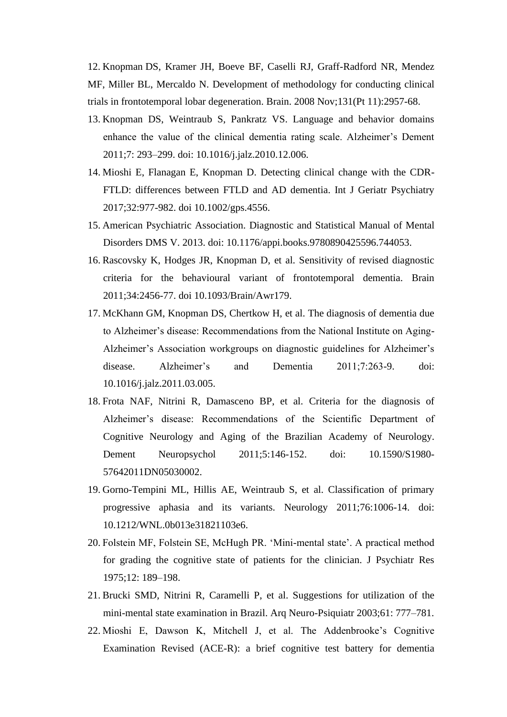12. Knopman DS, Kramer JH, Boeve BF, Caselli RJ, Graff-Radford NR, Mendez MF, Miller BL, Mercaldo N. [Development of methodology for conducting clinical](https://www.ncbi.nlm.nih.gov/pubmed/18829698)  [trials in frontotemporal lobar degeneration.](https://www.ncbi.nlm.nih.gov/pubmed/18829698) Brain. 2008 Nov;131(Pt 11):2957-68.

- 13. Knopman DS, Weintraub S, Pankratz VS. Language and behavior domains enhance the value of the clinical dementia rating scale. Alzheimer's Dement 2011;7: 293–299. doi: 10.1016/j.jalz.2010.12.006.
- 14. Mioshi E, Flanagan E, Knopman D. Detecting clinical change with the CDR-FTLD: differences between FTLD and AD dementia. Int J Geriatr Psychiatry 2017;32:977-982. doi 10.1002/gps.4556.
- 15. American Psychiatric Association. Diagnostic and Statistical Manual of Mental Disorders DMS V. 2013. doi: 10.1176/appi.books.9780890425596.744053.
- 16. Rascovsky K, Hodges JR, Knopman D, et al. Sensitivity of revised diagnostic criteria for the behavioural variant of frontotemporal dementia. Brain 2011;34:2456-77. doi 10.1093/Brain/Awr179.
- 17. McKhann GM, Knopman DS, Chertkow H, et al. The diagnosis of dementia due to Alzheimer's disease: Recommendations from the National Institute on Aging-Alzheimer's Association workgroups on diagnostic guidelines for Alzheimer's disease. Alzheimer's and Dementia 2011;7:263-9. doi: 10.1016/j.jalz.2011.03.005.
- 18. Frota NAF, Nitrini R, Damasceno BP, et al. Criteria for the diagnosis of Alzheimer's disease: Recommendations of the Scientific Department of Cognitive Neurology and Aging of the Brazilian Academy of Neurology. Dement Neuropsychol 2011;5:146-152. doi: 10.1590/S1980- 57642011DN05030002.
- 19. Gorno-Tempini ML, Hillis AE, Weintraub S, et al. Classification of primary progressive aphasia and its variants. Neurology 2011;76:1006-14. doi: 10.1212/WNL.0b013e31821103e6.
- 20. Folstein MF, Folstein SE, McHugh PR. 'Mini-mental state'. A practical method for grading the cognitive state of patients for the clinician. J Psychiatr Res 1975;12: 189–198.
- 21. Brucki SMD, Nitrini R, Caramelli P, et al. Suggestions for utilization of the mini-mental state examination in Brazil. Arq Neuro-Psiquiatr 2003;61: 777–781.
- 22. Mioshi E, Dawson K, Mitchell J, et al. The Addenbrooke's Cognitive Examination Revised (ACE-R): a brief cognitive test battery for dementia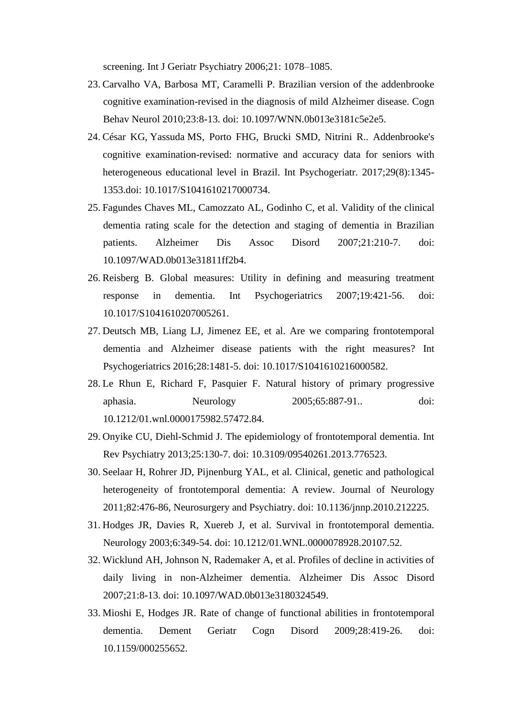screening. Int J Geriatr Psychiatry 2006;21: 1078–1085.

- 23. Carvalho VA, Barbosa MT, Caramelli P. Brazilian version of the addenbrooke cognitive examination-revised in the diagnosis of mild Alzheimer disease. Cogn Behav Neurol 2010;23:8-13. doi: 10.1097/WNN.0b013e3181c5e2e5.
- 24. César KG, Yassuda MS, Porto FHG, Brucki SMD, Nitrini R.. Addenbrooke's cognitive examination-revised: normative and accuracy data for seniors with heterogeneous educational level in Brazil. Int Psychogeriatr. 2017;29(8):1345- 1353.doi: 10.1017/S1041610217000734.
- 25. Fagundes Chaves ML, Camozzato AL, Godinho C, et al. Validity of the clinical dementia rating scale for the detection and staging of dementia in Brazilian patients. Alzheimer Dis Assoc Disord 2007;21:210-7. doi: 10.1097/WAD.0b013e31811ff2b4.
- 26. Reisberg B. Global measures: Utility in defining and measuring treatment response in dementia. Int Psychogeriatrics 2007;19:421-56. doi: 10.1017/S1041610207005261.
- 27. Deutsch MB, Liang LJ, Jimenez EE, et al. Are we comparing frontotemporal dementia and Alzheimer disease patients with the right measures? Int Psychogeriatrics 2016;28:1481-5. doi: 10.1017/S1041610216000582.
- 28. Le Rhun E, Richard F, Pasquier F. Natural history of primary progressive aphasia. Neurology 2005;65:887-91.. doi: 10.1212/01.wnl.0000175982.57472.84.
- 29. Onyike CU, Diehl-Schmid J. The epidemiology of frontotemporal dementia. Int Rev Psychiatry 2013;25:130-7. doi: 10.3109/09540261.2013.776523.
- 30. Seelaar H, Rohrer JD, Pijnenburg YAL, et al. Clinical, genetic and pathological heterogeneity of frontotemporal dementia: A review. Journal of Neurology 2011;82:476-86, Neurosurgery and Psychiatry. doi: 10.1136/jnnp.2010.212225.
- 31. Hodges JR, Davies R, Xuereb J, et al. Survival in frontotemporal dementia. Neurology 2003;6:349-54. doi: 10.1212/01.WNL.0000078928.20107.52.
- 32. Wicklund AH, Johnson N, Rademaker A, et al. Profiles of decline in activities of daily living in non-Alzheimer dementia. Alzheimer Dis Assoc Disord 2007;21:8-13. doi: 10.1097/WAD.0b013e3180324549.
- 33. Mioshi E, Hodges JR. Rate of change of functional abilities in frontotemporal dementia. Dement Geriatr Cogn Disord 2009;28:419-26. doi: 10.1159/000255652.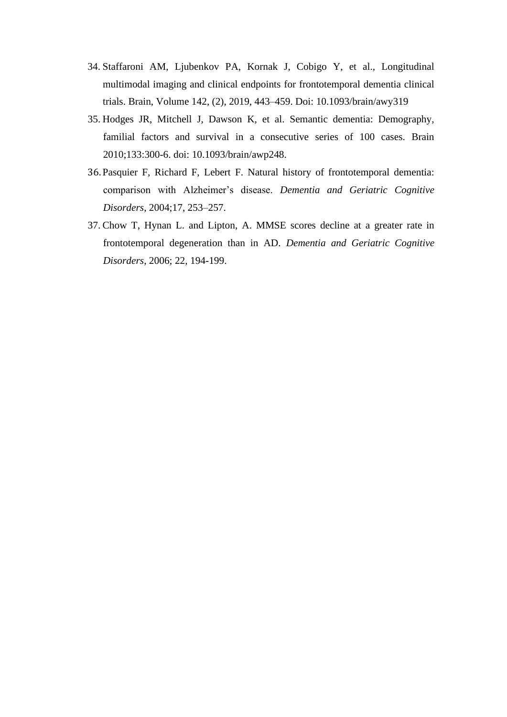- 34. Staffaroni AM, Ljubenkov PA, Kornak J, Cobigo Y, et al., Longitudinal multimodal imaging and clinical endpoints for frontotemporal dementia clinical trials. Brain, Volume 142, (2), 2019, 443–459. Doi: 10.1093/brain/awy319
- 35. Hodges JR, Mitchell J, Dawson K, et al. Semantic dementia: Demography, familial factors and survival in a consecutive series of 100 cases. Brain 2010;133:300-6. doi: 10.1093/brain/awp248.
- 36. Pasquier F, Richard F, Lebert F. Natural history of frontotemporal dementia: comparison with Alzheimer's disease. *Dementia and Geriatric Cognitive Disorders*, 2004;17, 253–257.
- 37. Chow T, Hynan L. and Lipton, A. MMSE scores decline at a greater rate in frontotemporal degeneration than in AD. *Dementia and Geriatric Cognitive Disorders*, 2006; 22, 194-199.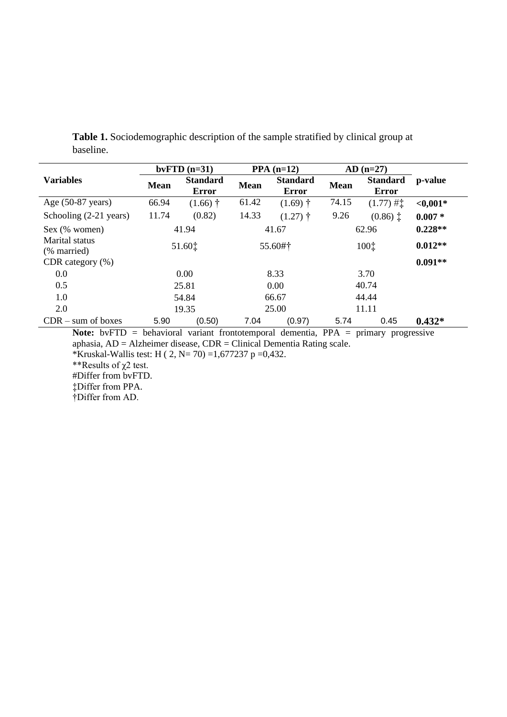|                                                                                            |             | $b\nu FTD$ (n=31)               |             | $PPA(n=12)$                     |             | $AD(n=27)$                      |             |
|--------------------------------------------------------------------------------------------|-------------|---------------------------------|-------------|---------------------------------|-------------|---------------------------------|-------------|
| <b>Variables</b>                                                                           | <b>Mean</b> | <b>Standard</b><br><b>Error</b> | <b>Mean</b> | <b>Standard</b><br><b>Error</b> | <b>Mean</b> | <b>Standard</b><br><b>Error</b> | p-value     |
| Age $(50-87 \text{ years})$                                                                | 66.94       | $(1.66)$ <sup>†</sup>           | 61.42       | $(1.69)$ <sup>†</sup>           | 74.15       | $(1.77)$ # $\ddagger$           | ${<}0,001*$ |
| Schooling (2-21 years)                                                                     | 11.74       | (0.82)                          | 14.33       | $(1.27)$ †                      | 9.26        | $(0.86)$ $\ddagger$             | $0.007 *$   |
| Sex (% women)                                                                              |             | 41.67<br>41.94                  |             |                                 | 62.96       | $0.228**$                       |             |
| Marital status<br>(% married)                                                              | 51.60‡      |                                 | 55.60#†     |                                 | 100‡        |                                 | $0.012**$   |
| CDR category $(\%)$                                                                        |             |                                 |             |                                 |             |                                 | $0.091**$   |
| 0.0                                                                                        |             | 0.00                            |             | 8.33                            |             | 3.70                            |             |
| 0.5                                                                                        |             | 25.81                           |             | 0.00                            |             | 40.74                           |             |
| 1.0                                                                                        |             | 54.84                           |             | 66.67                           |             | 44.44                           |             |
| 2.0                                                                                        | 19.35       |                                 | 25.00       |                                 | 11.11       |                                 |             |
| $CDR - sum$ of boxes                                                                       | 5.90        | (0.50)                          | 7.04        | (0.97)                          | 5.74        | 0.45                            | $0.432*$    |
| <b>Note:</b> bvFTD = behavioral variant frontotemporal dementia, PPA = primary progressive |             |                                 |             |                                 |             |                                 |             |
| aphasia, $AD = Alzheimer$ disease, $CDR = Clinical$ Dementia Rating scale.                 |             |                                 |             |                                 |             |                                 |             |

**Table 1.** Sociodemographic description of the sample stratified by clinical group at baseline.

\*Kruskal-Wallis test: H ( 2, N= 70) =1,677237 p =0,432.

\*\*Results of χ2 test.

#Differ from bvFTD.

‡Differ from PPA.

†Differ from AD.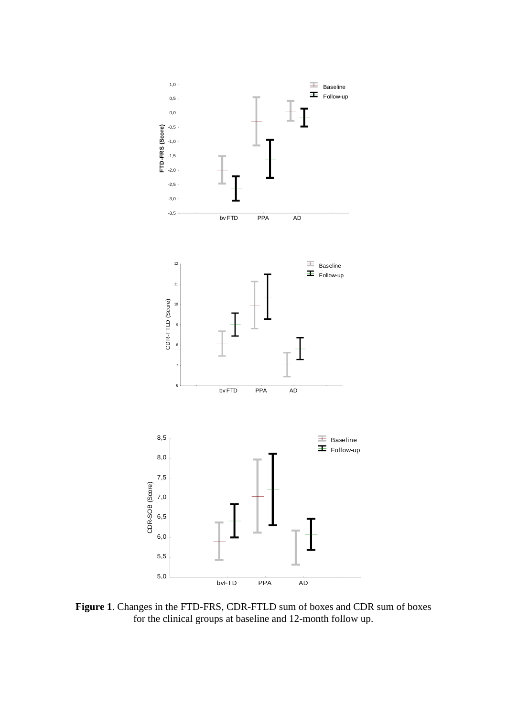

**Figure 1**. Changes in the FTD-FRS, CDR-FTLD sum of boxes and CDR sum of boxes for the clinical groups at baseline and 12-month follow up.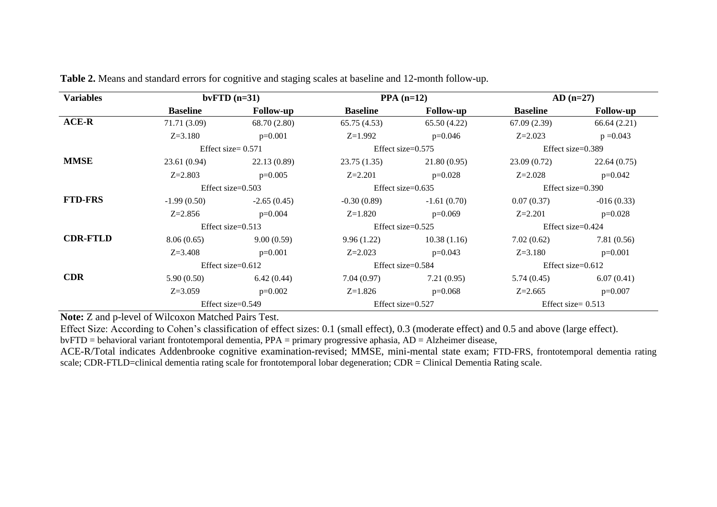| <b>Variables</b> | bvFTD $(n=31)$       |                       |                 | $PPA(n=12)$          | $AD(n=27)$           |                      |  |
|------------------|----------------------|-----------------------|-----------------|----------------------|----------------------|----------------------|--|
|                  | <b>Baseline</b>      | <b>Follow-up</b>      | <b>Baseline</b> | <b>Follow-up</b>     | <b>Baseline</b>      | <b>Follow-up</b>     |  |
| <b>ACE-R</b>     | 71.71 (3.09)         | 68.70 (2.80)          | 65.75(4.53)     | 65.50 (4.22)         | 67.09(2.39)          | 66.64(2.21)          |  |
|                  | $Z = 3.180$          | $p=0.001$             | $Z=1.992$       | $p=0.046$            | $Z = 2.023$          | $p = 0.043$          |  |
|                  |                      | Effect size = $0.571$ |                 | Effect size= $0.575$ |                      | Effect size= $0.389$ |  |
| <b>MMSE</b>      | 23.61 (0.94)         | 22.13(0.89)           | 23.75 (1.35)    | 21.80(0.95)          | 23.09 (0.72)         | 22.64(0.75)          |  |
|                  | $Z = 2.803$          | $p=0.005$             | $Z = 2.201$     | $p=0.028$            | $Z = 2.028$          | $p=0.042$            |  |
|                  |                      | Effect size= $0.503$  |                 | Effect size= $0.635$ | Effect size= $0.390$ |                      |  |
| <b>FTD-FRS</b>   | $-1.99(0.50)$        | $-2.65(0.45)$         | $-0.30(0.89)$   | $-1.61(0.70)$        | 0.07(0.37)           | $-016(0.33)$         |  |
|                  | $Z = 2.856$          | $p=0.004$             | $Z=1.820$       | $p=0.069$            | $Z = 2.201$          | $p=0.028$            |  |
|                  |                      | Effect size= $0.513$  |                 | Effect size= $0.525$ | Effect size= $0.424$ |                      |  |
| <b>CDR-FTLD</b>  | 8.06(0.65)           | 9.00(0.59)            | 9.96(1.22)      | 10.38(1.16)          | 7.02(0.62)           | 7.81(0.56)           |  |
|                  | $Z = 3.408$          | $p=0.001$             | $Z=2.023$       | $p=0.043$            | $Z = 3.180$          | $p=0.001$            |  |
|                  | Effect size= $0.612$ |                       |                 | Effect size= $0.584$ | Effect size= $0.612$ |                      |  |
| <b>CDR</b>       | 5.90(0.50)           | 6.42(0.44)            | 7.04 (0.97)     | 7.21(0.95)           | 5.74(0.45)           | 6.07(0.41)           |  |
|                  | $Z = 3.059$          | $p=0.002$             | $Z=1.826$       | $p=0.068$            | $Z = 2.665$          | $p=0.007$            |  |
|                  |                      | Effect size= $0.549$  |                 | Effect size= $0.527$ | Effect size= $0.513$ |                      |  |

**Table 2.** Means and standard errors for cognitive and staging scales at baseline and 12-month follow-up.

**Note:** Z and p-level of Wilcoxon Matched Pairs Test.

Effect Size: According to Cohen's classification of effect sizes: 0.1 (small effect), 0.3 (moderate effect) and 0.5 and above (large effect).

bvFTD = behavioral variant frontotemporal dementia, PPA = primary progressive aphasia, AD = Alzheimer disease,

ACE-R/Total indicates Addenbrooke cognitive examination-revised; MMSE, mini-mental state exam; FTD-FRS, frontotemporal dementia rating scale; CDR-FTLD=clinical dementia rating scale for frontotemporal lobar degeneration; CDR = Clinical Dementia Rating scale.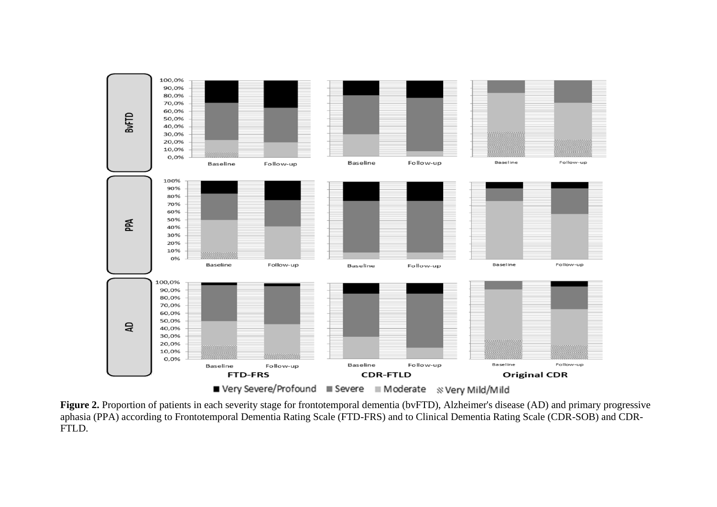

**Figure 2.** Proportion of patients in each severity stage for frontotemporal dementia (bvFTD), Alzheimer's disease (AD) and primary progressive aphasia (PPA) according to Frontotemporal Dementia Rating Scale (FTD-FRS) and to Clinical Dementia Rating Scale (CDR-SOB) and CDR-FTLD.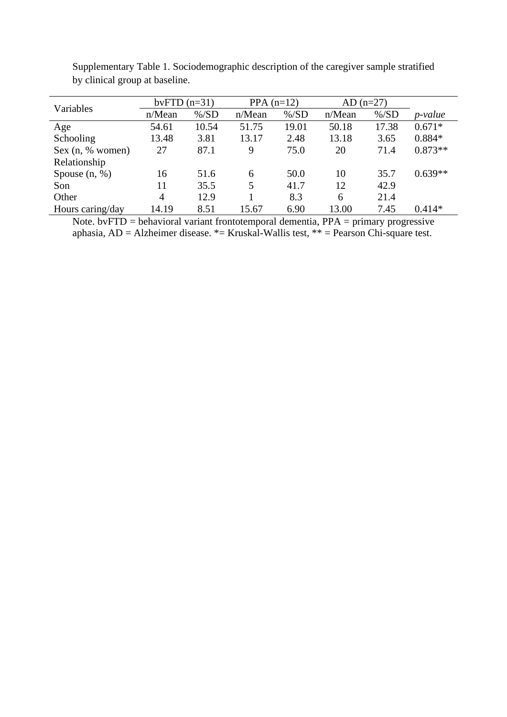| Variables        | bvFTD $(n=31)$ |          | PPA $(n=12)$ |          | $AD (n=27)$ |          |                 |
|------------------|----------------|----------|--------------|----------|-------------|----------|-----------------|
|                  | n/Mean         | $\%$ /SD | n/Mean       | $\%$ /SD | n/Mean      | $\%$ /SD | <i>p</i> -value |
| Age              | 54.61          | 10.54    | 51.75        | 19.01    | 50.18       | 17.38    | $0.671*$        |
| Schooling        | 13.48          | 3.81     | 13.17        | 2.48     | 13.18       | 3.65     | $0.884*$        |
| Sex (n, % women) | 27             | 87.1     | 9            | 75.0     | 20          | 71.4     | $0.873**$       |
| Relationship     |                |          |              |          |             |          |                 |
| Spouse $(n, %)$  | 16             | 51.6     | 6            | 50.0     | 10          | 35.7     | $0.639**$       |
| Son              | 11             | 35.5     | 5            | 41.7     | 12          | 42.9     |                 |
| Other            | $\overline{4}$ | 12.9     |              | 8.3      | 6           | 21.4     |                 |
| Hours caring/day | 14.19          | 8.51     | 15.67        | 6.90     | 13.00       | 7.45     | $0.414*$        |

Supplementary Table 1. Sociodemographic description of the caregiver sample stratified by clinical group at baseline.

Note. bv $FTD =$  behavioral variant frontotemporal dementia,  $PPA =$  primary progressive aphasia,  $AD = Alzheimer$  disease.  $* = Kruskal-Wallis test$ ,  $** = Pearson Chi-square test$ .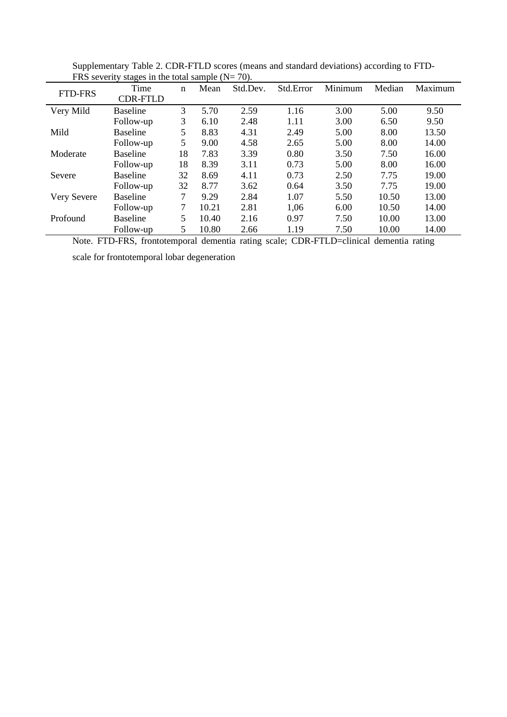| <b>I IND DUTCHILL</b><br><b>FTD-FRS</b> | $\frac{1}{2}$ or $\frac{1}{2}$ or $\frac{1}{2}$ or $\frac{1}{2}$ or $\frac{1}{2}$ or $\frac{1}{2}$ or $\frac{1}{2}$ or $\frac{1}{2}$<br>Time | n  | Mean  | Std.Dev. | Std.Error | Minimum | Median | Maximum |
|-----------------------------------------|----------------------------------------------------------------------------------------------------------------------------------------------|----|-------|----------|-----------|---------|--------|---------|
|                                         | <b>CDR-FTLD</b>                                                                                                                              |    |       |          |           |         |        |         |
| Very Mild                               | <b>Baseline</b>                                                                                                                              | 3  | 5.70  | 2.59     | 1.16      | 3.00    | 5.00   | 9.50    |
|                                         | Follow-up                                                                                                                                    | 3  | 6.10  | 2.48     | 1.11      | 3.00    | 6.50   | 9.50    |
| Mild                                    | <b>Baseline</b>                                                                                                                              | 5  | 8.83  | 4.31     | 2.49      | 5.00    | 8.00   | 13.50   |
|                                         | Follow-up                                                                                                                                    | 5  | 9.00  | 4.58     | 2.65      | 5.00    | 8.00   | 14.00   |
| Moderate                                | <b>Baseline</b>                                                                                                                              | 18 | 7.83  | 3.39     | 0.80      | 3.50    | 7.50   | 16.00   |
|                                         | Follow-up                                                                                                                                    | 18 | 8.39  | 3.11     | 0.73      | 5.00    | 8.00   | 16.00   |
| Severe                                  | <b>Baseline</b>                                                                                                                              | 32 | 8.69  | 4.11     | 0.73      | 2.50    | 7.75   | 19.00   |
|                                         | Follow-up                                                                                                                                    | 32 | 8.77  | 3.62     | 0.64      | 3.50    | 7.75   | 19.00   |
| Very Severe                             | <b>Baseline</b>                                                                                                                              | 7  | 9.29  | 2.84     | 1.07      | 5.50    | 10.50  | 13.00   |
|                                         | Follow-up                                                                                                                                    | 7  | 10.21 | 2.81     | 1,06      | 6.00    | 10.50  | 14.00   |
| Profound                                | <b>Baseline</b>                                                                                                                              | 5  | 10.40 | 2.16     | 0.97      | 7.50    | 10.00  | 13.00   |
|                                         | Follow-up                                                                                                                                    | 5  | 10.80 | 2.66     | 1.19      | 7.50    | 10.00  | 14.00   |

Supplementary Table 2. CDR-FTLD scores (means and standard deviations) according to FTD-FRS severity stages in the total sample  $(N= 70)$ .

Note. FTD-FRS, frontotemporal dementia rating scale; CDR-FTLD=clinical dementia rating

scale for frontotemporal lobar degeneration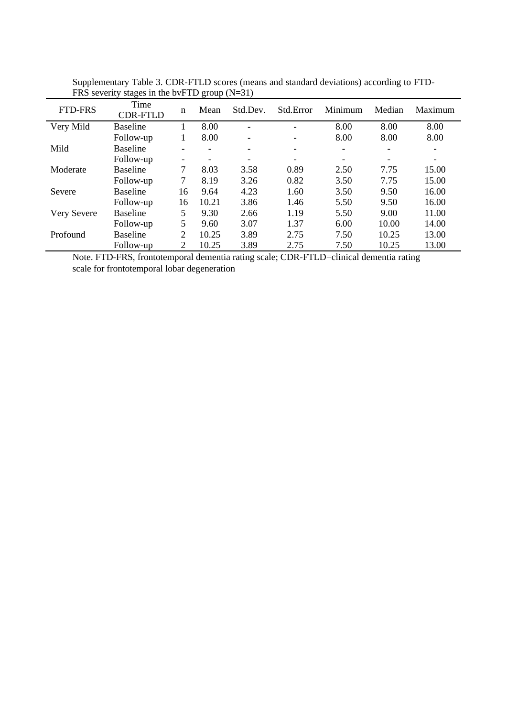| <b>FTD-FRS</b> | Time<br><b>CDR-FTLD</b> | n                        | Mean  | Std.Dev. | Std.Error                | Minimum | Median | Maximum                  |
|----------------|-------------------------|--------------------------|-------|----------|--------------------------|---------|--------|--------------------------|
| Very Mild      | <b>Baseline</b>         |                          | 8.00  |          |                          | 8.00    | 8.00   | 8.00                     |
|                | Follow-up               | 1                        | 8.00  | -        | $\overline{\phantom{a}}$ | 8.00    | 8.00   | 8.00                     |
| Mild           | <b>Baseline</b>         | $\overline{\phantom{0}}$ |       | -        | $\overline{\phantom{a}}$ |         | -      | $\overline{\phantom{0}}$ |
|                | Follow-up               |                          |       |          |                          |         |        | ۰                        |
| Moderate       | <b>Baseline</b>         | 7                        | 8.03  | 3.58     | 0.89                     | 2.50    | 7.75   | 15.00                    |
|                | Follow-up               | 7                        | 8.19  | 3.26     | 0.82                     | 3.50    | 7.75   | 15.00                    |
| Severe         | <b>Baseline</b>         | 16                       | 9.64  | 4.23     | 1.60                     | 3.50    | 9.50   | 16.00                    |
|                | Follow-up               | 16                       | 10.21 | 3.86     | 1.46                     | 5.50    | 9.50   | 16.00                    |
| Very Severe    | <b>Baseline</b>         | 5                        | 9.30  | 2.66     | 1.19                     | 5.50    | 9.00   | 11.00                    |
|                | Follow-up               | 5                        | 9.60  | 3.07     | 1.37                     | 6.00    | 10.00  | 14.00                    |
| Profound       | <b>Baseline</b>         | 2                        | 10.25 | 3.89     | 2.75                     | 7.50    | 10.25  | 13.00                    |
|                | Follow-up               | 2                        | 10.25 | 3.89     | 2.75                     | 7.50    | 10.25  | 13.00                    |

Supplementary Table 3. CDR-FTLD scores (means and standard deviations) according to FTD-FRS severity stages in the bvFTD group (N=31)

Note. FTD-FRS, frontotemporal dementia rating scale; CDR-FTLD=clinical dementia rating scale for frontotemporal lobar degeneration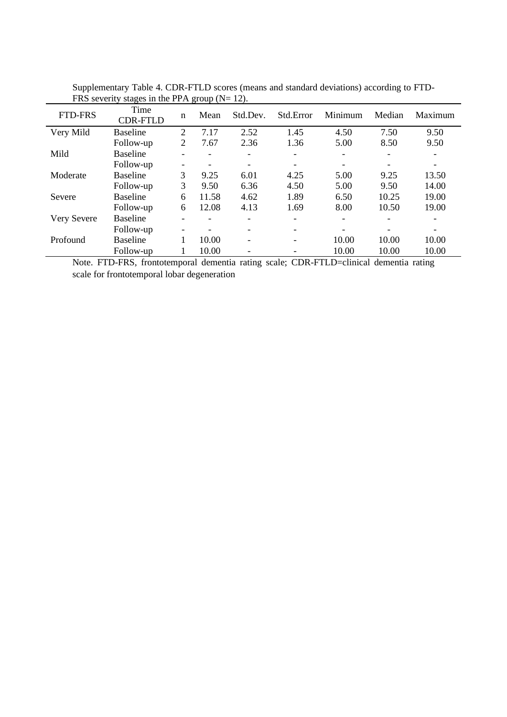| <b>FTD-FRS</b> | Time<br><b>CDR-FTLD</b> | n                        | Mean  | Std.Dev. | Std.Error | Minimum | Median | Maximum |
|----------------|-------------------------|--------------------------|-------|----------|-----------|---------|--------|---------|
| Very Mild      | <b>Baseline</b>         | 2                        | 7.17  | 2.52     | 1.45      | 4.50    | 7.50   | 9.50    |
|                | Follow-up               | 2                        | 7.67  | 2.36     | 1.36      | 5.00    | 8.50   | 9.50    |
| Mild           | <b>Baseline</b>         |                          | -     | ۰        |           |         |        |         |
|                | Follow-up               | $\overline{\phantom{a}}$ |       |          |           |         |        |         |
| Moderate       | <b>Baseline</b>         | 3                        | 9.25  | 6.01     | 4.25      | 5.00    | 9.25   | 13.50   |
|                | Follow-up               | 3                        | 9.50  | 6.36     | 4.50      | 5.00    | 9.50   | 14.00   |
| Severe         | <b>Baseline</b>         | 6                        | 11.58 | 4.62     | 1.89      | 6.50    | 10.25  | 19.00   |
|                | Follow-up               | 6                        | 12.08 | 4.13     | 1.69      | 8.00    | 10.50  | 19.00   |
| Very Severe    | <b>Baseline</b>         |                          |       |          |           |         |        |         |
|                | Follow-up               | $\overline{\phantom{a}}$ |       |          |           |         |        |         |
| Profound       | <b>Baseline</b>         |                          | 10.00 | ۰        |           | 10.00   | 10.00  | 10.00   |
|                | Follow-up               |                          | 10.00 |          |           | 10.00   | 10.00  | 10.00   |

Supplementary Table 4. CDR-FTLD scores (means and standard deviations) according to FTD-FRS severity stages in the PPA group ( $N= 12$ ).

Note. FTD-FRS, frontotemporal dementia rating scale; CDR-FTLD=clinical dementia rating scale for frontotemporal lobar degeneration